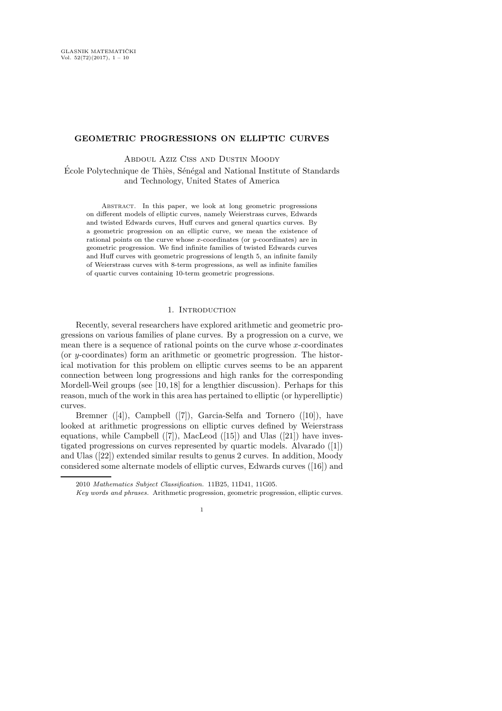# GEOMETRIC PROGRESSIONS ON ELLIPTIC CURVES

Abdoul Aziz Ciss and Dustin Moody

École Polytechnique de Thiès, Sénégal and National Institute of Standards and Technology, United States of America

Abstract. In this paper, we look at long geometric progressions on different models of elliptic curves, namely Weierstrass curves, Edwards and twisted Edwards curves, Huff curves and general quartics curves. By a geometric progression on an elliptic curve, we mean the existence of rational points on the curve whose x-coordinates (or  $y$ -coordinates) are in geometric progression. We find infinite families of twisted Edwards curves and Huff curves with geometric progressions of length 5, an infinite family of Weierstrass curves with 8-term progressions, as well as infinite families of quartic curves containing 10-term geometric progressions.

## 1. INTRODUCTION

Recently, several researchers have explored arithmetic and geometric progressions on various families of plane curves. By a progression on a curve, we mean there is a sequence of rational points on the curve whose  $x$ -coordinates (or y-coordinates) form an arithmetic or geometric progression. The historical motivation for this problem on elliptic curves seems to be an apparent connection between long progressions and high ranks for the corresponding Mordell-Weil groups (see [10, 18] for a lengthier discussion). Perhaps for this reason, much of the work in this area has pertained to elliptic (or hyperelliptic) curves.

Bremner ([4]), Campbell ([7]), Garcia-Selfa and Tornero ([10]), have looked at arithmetic progressions on elliptic curves defined by Weierstrass equations, while Campbell  $([7])$ , MacLeod  $([15])$  and Ulas  $([21])$  have investigated progressions on curves represented by quartic models. Alvarado ([1]) and Ulas ([22]) extended similar results to genus 2 curves. In addition, Moody considered some alternate models of elliptic curves, Edwards curves ([16]) and

<sup>2010</sup> Mathematics Subject Classification. 11B25, 11D41, 11G05.

Key words and phrases. Arithmetic progression, geometric progression, elliptic curves.

<sup>1</sup>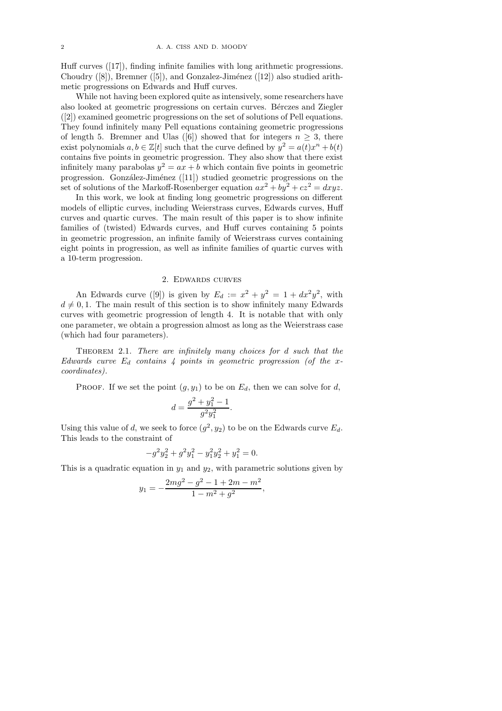Huff curves ([17]), finding infinite families with long arithmetic progressions. Choudry  $([8])$ , Bremner  $([5])$ , and Gonzalez-Jiménez  $([12])$  also studied arithmetic progressions on Edwards and Huff curves.

While not having been explored quite as intensively, some researchers have also looked at geometric progressions on certain curves. Bérczes and Ziegler ([2]) examined geometric progressions on the set of solutions of Pell equations. They found infinitely many Pell equations containing geometric progressions of length 5. Bremner and Ulas ([6]) showed that for integers  $n \geq 3$ , there exist polynomials  $a, b \in \mathbb{Z}[t]$  such that the curve defined by  $y^2 = a(t)x^n + b(t)$ contains five points in geometric progression. They also show that there exist infinitely many parabolas  $y^2 = ax + b$  which contain five points in geometric progression. González-Jiménez  $([11])$  studied geometric progressions on the set of solutions of the Markoff-Rosenberger equation  $ax^2 + by^2 + cz^2 = dxyz$ .

In this work, we look at finding long geometric progressions on different models of elliptic curves, including Weierstrass curves, Edwards curves, Huff curves and quartic curves. The main result of this paper is to show infinite families of (twisted) Edwards curves, and Huff curves containing 5 points in geometric progression, an infinite family of Weierstrass curves containing eight points in progression, as well as infinite families of quartic curves with a 10-term progression.

## 2. Edwards curves

An Edwards curve ([9]) is given by  $E_d := x^2 + y^2 = 1 + dx^2y^2$ , with  $d \neq 0, 1$ . The main result of this section is to show infinitely many Edwards curves with geometric progression of length 4. It is notable that with only one parameter, we obtain a progression almost as long as the Weierstrass case (which had four parameters).

Theorem 2.1. There are infinitely many choices for d such that the Edwards curve  $E_d$  contains 4 points in geometric progression (of the xcoordinates).

PROOF. If we set the point  $(g, y_1)$  to be on  $E_d$ , then we can solve for d,

$$
d = \frac{g^2 + y_1^2 - 1}{g^2 y_1^2}.
$$

Using this value of d, we seek to force  $(g^2, y_2)$  to be on the Edwards curve  $E_d$ . This leads to the constraint of

$$
-g^2y_2^2 + g^2y_1^2 - y_1^2y_2^2 + y_1^2 = 0.
$$

This is a quadratic equation in  $y_1$  and  $y_2$ , with parametric solutions given by

$$
y_1 = -\frac{2mg^2 - g^2 - 1 + 2m - m^2}{1 - m^2 + g^2},
$$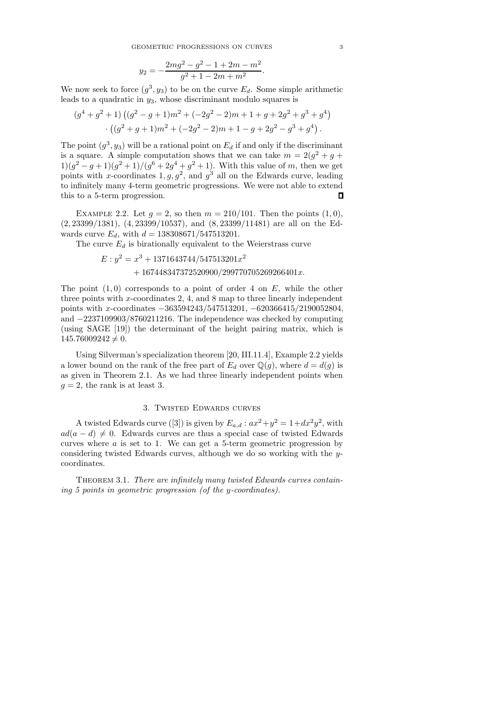$$
y_2 = -\frac{2mg^2 - g^2 - 1 + 2m - m^2}{g^2 + 1 - 2m + m^2}
$$

.

We now seek to force  $(g^3, y_3)$  to be on the curve  $E_d$ . Some simple arithmetic leads to a quadratic in  $y_3$ , whose discriminant modulo squares is

$$
(g4 + g2 + 1) ((g2 - g + 1)m2 + (-2g2 - 2)m + 1 + g + 2g2 + g3 + g4)
$$

$$
\cdot ((g2 + g + 1)m2 + (-2g2 - 2)m + 1 - g + 2g2 - g3 + g4).
$$

The point  $(g^3, y_3)$  will be a rational point on  $E_d$  if and only if the discriminant is a square. A simple computation shows that we can take  $m = 2(g^2 + g +$  $1\frac{1}{g^2 - g + 1}{g^2 + 1}/\frac{g^6 + 2g^4 + g^2 + 1}$ . With this value of m, then we get points with x-coordinates  $1, g, g^2$ , and  $g^3$  all on the Edwards curve, leading to infinitely many 4-term geometric progressions. We were not able to extend this to a 5-term progression.  $\Box$ 

EXAMPLE 2.2. Let  $g = 2$ , so then  $m = 210/101$ . Then the points  $(1, 0)$ , (2, 23399/1381), (4, 23399/10537), and (8, 23399/11481) are all on the Edwards curve  $E_d$ , with  $d = 138308671/547513201$ .

The curve  $E_d$  is birationally equivalent to the Weierstrass curve

$$
E: y^2 = x^3 + 1371643744/547513201x^2
$$
  
+ 167448347372520900/299770705269266401x.

The point  $(1, 0)$  corresponds to a point of order 4 on E, while the other three points with x-coordinates 2, 4, and 8 map to three linearly independent points with x-coordinates −363594243/547513201, −620366415/2190052804, and −2237109903/8760211216. The independence was checked by computing (using SAGE [19]) the determinant of the height pairing matrix, which is  $145.76009242 \neq 0.$ 

Using Silverman's specialization theorem [20, III.11.4], Example 2.2 yields a lower bound on the rank of the free part of  $E_d$  over  $\mathbb{Q}(q)$ , where  $d = d(q)$  is as given in Theorem 2.1. As we had three linearly independent points when  $g = 2$ , the rank is at least 3.

## 3. Twisted Edwards curves

A twisted Edwards curve ([3]) is given by  $E_{a,d}: ax^2+y^2=1+dx^2y^2$ , with  $ad(a - d) \neq 0$ . Edwards curves are thus a special case of twisted Edwards curves where  $a$  is set to 1. We can get a 5-term geometric progression by considering twisted Edwards curves, although we do so working with the ycoordinates.

THEOREM 3.1. There are infinitely many twisted Edwards curves containing 5 points in geometric progression (of the y-coordinates).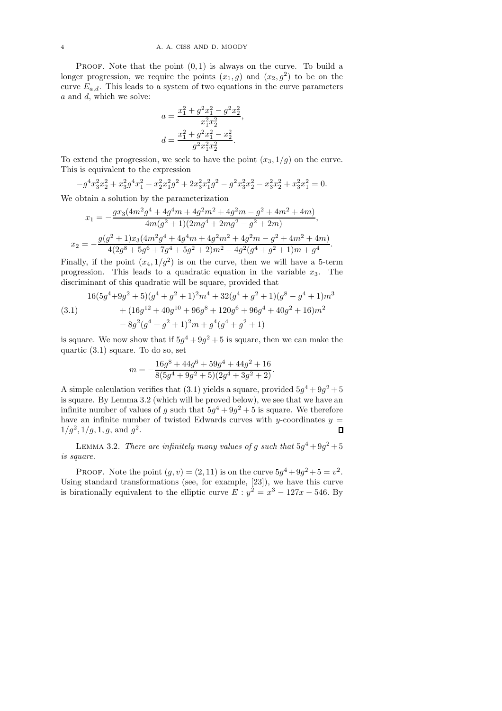PROOF. Note that the point  $(0, 1)$  is always on the curve. To build a longer progression, we require the points  $(x_1, g)$  and  $(x_2, g^2)$  to be on the curve  $E_{a,d}$ . This leads to a system of two equations in the curve parameters a and d, which we solve:

$$
a = \frac{x_1^2 + g^2 x_1^2 - g^2 x_2^2}{x_1^2 x_2^2},
$$
  

$$
d = \frac{x_1^2 + g^2 x_1^2 - x_2^2}{g^2 x_1^2 x_2^2}.
$$

To extend the progression, we seek to have the point  $(x_3, 1/g)$  on the curve. This is equivalent to the expression

$$
-g^4x_3^2x_2^2 + x_3^2g^4x_1^2 - x_2^2x_1^2g^2 + 2x_3^2x_1^2g^2 - g^2x_3^2x_2^2 - x_3^2x_2^2 + x_3^2x_1^2 = 0.
$$

We obtain a solution by the parameterization

$$
x_1 = -\frac{gx_3(4m^2g^4 + 4g^4m + 4g^2m^2 + 4g^2m - g^2 + 4m^2 + 4m)}{4m(g^2 + 1)(2mg^4 + 2mg^2 - g^2 + 2m)},
$$
  

$$
x_2 = -\frac{g(g^2 + 1)x_3(4m^2g^4 + 4g^4m + 4g^2m^2 + 4g^2m - g^2 + 4m^2 + 4m)}{4(2g^8 + 5g^6 + 7g^4 + 5g^2 + 2)m^2 - 4g^2(g^4 + g^2 + 1)m + g^4}.
$$

Finally, if the point  $(x_4, 1/g^2)$  is on the curve, then we will have a 5-term progression. This leads to a quadratic equation in the variable  $x_3$ . The discriminant of this quadratic will be square, provided that

$$
16(5g4+9g2+5)(g4+g2+1)2m4+32(g4+g2+1)(g8-g4+1)m3
$$
  
(3.1) +  $(16g12+40g10+96g8+120g6+96g4+40g2+16)m2$   
-  $8g2(g4+g2+1)2m+g4(g4+g2+1)$ 

is square. We now show that if  $5g^4 + 9g^2 + 5$  is square, then we can make the quartic (3.1) square. To do so, set

$$
m = -\frac{16g^8 + 44g^6 + 59g^4 + 44g^2 + 16}{8(5g^4 + 9g^2 + 5)(2g^4 + 3g^2 + 2)}.
$$

A simple calculation verifies that (3.1) yields a square, provided  $5g^4 + 9g^2 + 5$ is square. By Lemma 3.2 (which will be proved below), we see that we have an infinite number of values of g such that  $5g^4 + 9g^2 + 5$  is square. We therefore have an infinite number of twisted Edwards curves with  $y$ -coordinates  $y =$  $\Box$  $1/g^2, 1/g, 1, g$ , and  $g^2$ .

LEMMA 3.2. There are infinitely many values of g such that  $5g^4+9g^2+5$ is square.

PROOF. Note the point  $(g, v) = (2, 11)$  is on the curve  $5g^4 + 9g^2 + 5 = v^2$ . Using standard transformations (see, for example, [23]), we have this curve is birationally equivalent to the elliptic curve  $E: y^2 = x^3 - 127x - 546$ . By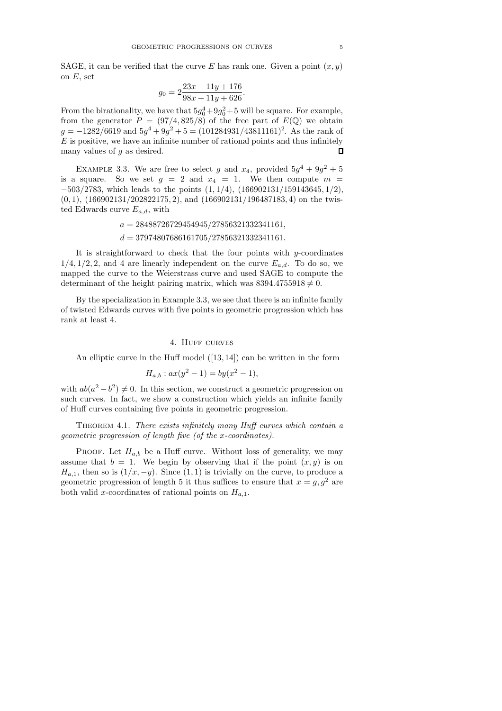SAGE, it can be verified that the curve E has rank one. Given a point  $(x, y)$ on  $E$ , set

$$
g_0 = 2\frac{23x - 11y + 176}{98x + 11y + 626}.
$$

From the birationality, we have that  $5g_0^4+9g_0^2+5$  will be square. For example, from the generator  $P = (97/4, 825/8)$  of the free part of  $E(\mathbb{Q})$  we obtain  $g = -1282/6619$  and  $5g<sup>4</sup> + 9g<sup>2</sup> + 5 = (101284931/43811161)<sup>2</sup>$ . As the rank of  $E$  is positive, we have an infinite number of rational points and thus infinitely many values of  $q$  as desired.  $\Box$ 

EXAMPLE 3.3. We are free to select g and  $x_4$ , provided  $5g^4 + 9g^2 + 5$ is a square. So we set  $g = 2$  and  $x_4 = 1$ . We then compute  $m =$  $-503/2783$ , which leads to the points  $(1, 1/4)$ ,  $(166902131/159143645, 1/2)$ ,  $(0, 1)$ ,  $(166902131/202822175, 2)$ , and  $(166902131/196487183, 4)$  on the twisted Edwards curve  $E_{a,d}$ , with

$$
a = 28488726729454945/27856321332341161,
$$
  

$$
d = 37974807686161705/27856321332341161.
$$

It is straightforward to check that the four points with  $y$ -coordinates  $1/4$ ,  $1/2$ , 2, and 4 are linearly independent on the curve  $E_{a,d}$ . To do so, we mapped the curve to the Weierstrass curve and used SAGE to compute the determinant of the height pairing matrix, which was  $8394.4755918 \neq 0$ .

By the specialization in Example 3.3, we see that there is an infinite family of twisted Edwards curves with five points in geometric progression which has rank at least 4.

## 4. HUFF CURVES

An elliptic curve in the Huff model ([13, 14]) can be written in the form

$$
H_{a,b}: ax(y^2 - 1) = by(x^2 - 1),
$$

with  $ab(a^2 - b^2) \neq 0$ . In this section, we construct a geometric progression on such curves. In fact, we show a construction which yields an infinite family of Huff curves containing five points in geometric progression.

THEOREM 4.1. There exists infinitely many Huff curves which contain a geometric progression of length five (of the x-coordinates).

PROOF. Let  $H_{a,b}$  be a Huff curve. Without loss of generality, we may assume that  $b = 1$ . We begin by observing that if the point  $(x, y)$  is on  $H_{a,1}$ , then so is  $(1/x, -y)$ . Since  $(1, 1)$  is trivially on the curve, to produce a geometric progression of length 5 it thus suffices to ensure that  $x = g, g<sup>2</sup>$  are both valid x-coordinates of rational points on  $H_{a,1}$ .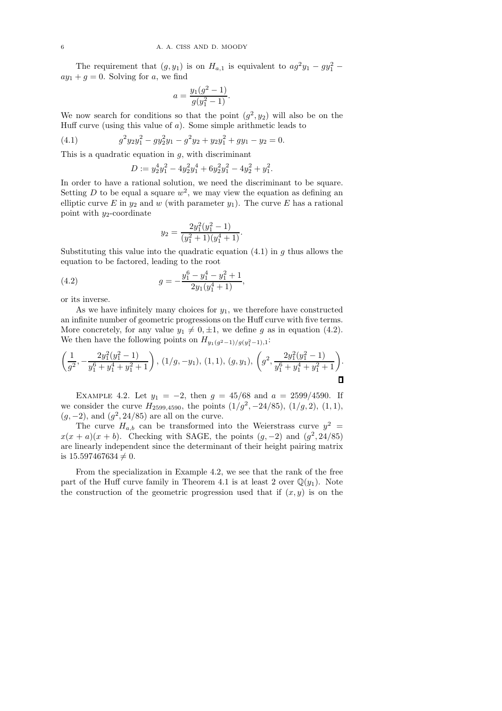The requirement that  $(g, y_1)$  is on  $H_{a,1}$  is equivalent to  $ag^2y_1 - gy_1^2$  –  $ay_1 + g = 0$ . Solving for a, we find

$$
a = \frac{y_1(g^2 - 1)}{g(y_1^2 - 1)}.
$$

We now search for conditions so that the point  $(g^2, y_2)$  will also be on the Huff curve (using this value of  $a$ ). Some simple arithmetic leads to

(4.1) 
$$
g^2 y_2 y_1^2 - g y_2^2 y_1 - g^2 y_2 + y_2 y_1^2 + g y_1 - y_2 = 0.
$$

This is a quadratic equation in  $q$ , with discriminant

$$
D := y_2^4 y_1^2 - 4y_2^2 y_1^4 + 6y_2^2 y_1^2 - 4y_2^2 + y_1^2.
$$

In order to have a rational solution, we need the discriminant to be square. Setting D to be equal a square  $w^2$ , we may view the equation as defining an elliptic curve E in  $y_2$  and w (with parameter  $y_1$ ). The curve E has a rational point with  $y_2$ -coordinate

$$
y_2 = \frac{2y_1^2(y_1^2 - 1)}{(y_1^2 + 1)(y_1^4 + 1)}.
$$

Substituting this value into the quadratic equation  $(4.1)$  in g thus allows the equation to be factored, leading to the root

(4.2) 
$$
g = -\frac{y_1^6 - y_1^4 - y_1^2 + 1}{2y_1(y_1^4 + 1)},
$$

or its inverse.

As we have infinitely many choices for  $y_1$ , we therefore have constructed an infinite number of geometric progressions on the Huff curve with five terms. More concretely, for any value  $y_1 \neq 0, \pm 1$ , we define g as in equation (4.2). We then have the following points on  $H_{y_1(g^2-1)/g(y_1^2-1),1}$ :

$$
\left(\frac{1}{g^2},-\frac{2y_1^2(y_1^2-1)}{y_1^6+y_1^4+y_1^2+1}\right), (1/g,-y_1), (1,1), (g,y_1), \left(g^2,\frac{2y_1^2(y_1^2-1)}{y_1^6+y_1^4+y_1^2+1}\right).
$$

EXAMPLE 4.2. Let  $y_1 = -2$ , then  $g = 45/68$  and  $a = 2599/4590$ . If we consider the curve  $H_{2599,4590}$ , the points  $(1/g^2, -24/85)$ ,  $(1/g, 2)$ ,  $(1, 1)$ ,  $(g, -2)$ , and  $(g^2, 24/85)$  are all on the curve.

The curve  $H_{a,b}$  can be transformed into the Weierstrass curve  $y^2 =$  $x(x + a)(x + b)$ . Checking with SAGE, the points  $(g, -2)$  and  $(g^2, 24/85)$ are linearly independent since the determinant of their height pairing matrix is  $15.597467634 \neq 0$ .

From the specialization in Example 4.2, we see that the rank of the free part of the Huff curve family in Theorem 4.1 is at least 2 over  $\mathbb{Q}(y_1)$ . Note the construction of the geometric progression used that if  $(x, y)$  is on the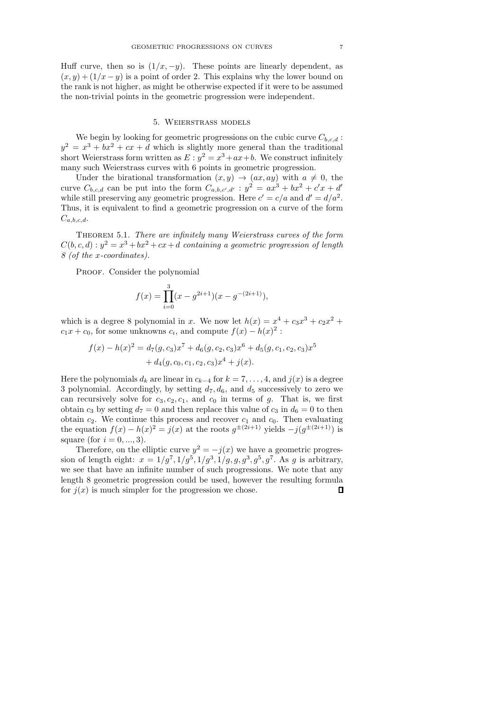Huff curve, then so is  $(1/x, -y)$ . These points are linearly dependent, as  $(x, y) + (1/x - y)$  is a point of order 2. This explains why the lower bound on the rank is not higher, as might be otherwise expected if it were to be assumed the non-trivial points in the geometric progression were independent.

## 5. Weierstrass models

We begin by looking for geometric progressions on the cubic curve  $C_{b,c,d}$ :  $y^2 = x^3 + bx^2 + cx + d$  which is slightly more general than the traditional short Weierstrass form written as  $E: y^2 = x^3 + ax + b$ . We construct infinitely many such Weierstrass curves with 6 points in geometric progression.

Under the birational transformation  $(x, y) \rightarrow (ax, ay)$  with  $a \neq 0$ , the curve  $C_{b,c,d}$  can be put into the form  $C_{a,b,c',d'}$ :  $y^2 = ax^3 + bx^2 + c'x + d'$ while still preserving any geometric progression. Here  $c' = c/a$  and  $d' = d/a^2$ . Thus, it is equivalent to find a geometric progression on a curve of the form  $C_{a,b,c,d}$ .

THEOREM 5.1. There are infinitely many Weierstrass curves of the form  $C(b, c, d): y^2 = x^3 + bx^2 + cx + d$  containing a geometric progression of length 8 (of the x-coordinates).

PROOF. Consider the polynomial

$$
f(x) = \prod_{i=0}^{3} (x - g^{2i+1})(x - g^{-(2i+1)}),
$$

which is a degree 8 polynomial in x. We now let  $h(x) = x^4 + c_3x^3 + c_2x^2 +$  $c_1x + c_0$ , for some unknowns  $c_i$ , and compute  $f(x) - h(x)^2$ :

$$
f(x) - h(x)^2 = d_7(g, c_3)x^7 + d_6(g, c_2, c_3)x^6 + d_5(g, c_1, c_2, c_3)x^5
$$
  
+ 
$$
d_4(g, c_0, c_1, c_2, c_3)x^4 + j(x).
$$

Here the polynomials  $d_k$  are linear in  $c_{k-4}$  for  $k = 7, \ldots, 4$ , and  $j(x)$  is a degree 3 polynomial. Accordingly, by setting  $d_7, d_6$ , and  $d_5$  successively to zero we can recursively solve for  $c_3, c_2, c_1$ , and  $c_0$  in terms of g. That is, we first obtain  $c_3$  by setting  $d_7 = 0$  and then replace this value of  $c_3$  in  $d_6 = 0$  to then obtain  $c_2$ . We continue this process and recover  $c_1$  and  $c_0$ . Then evaluating the equation  $f(x) - h(x)^2 = j(x)$  at the roots  $g^{\pm (2i+1)}$  yields  $-j(g^{\pm (2i+1)})$  is square (for  $i = 0, ..., 3$ ).

Therefore, on the elliptic curve  $y^2 = -j(x)$  we have a geometric progression of length eight:  $x = 1/g^7, 1/g^5, 1/g^3, 1/g, g, g^3, g^5, g^7$ . As g is arbitrary, we see that have an infinite number of such progressions. We note that any length 8 geometric progression could be used, however the resulting formula for  $j(x)$  is much simpler for the progression we chose.  $\Box$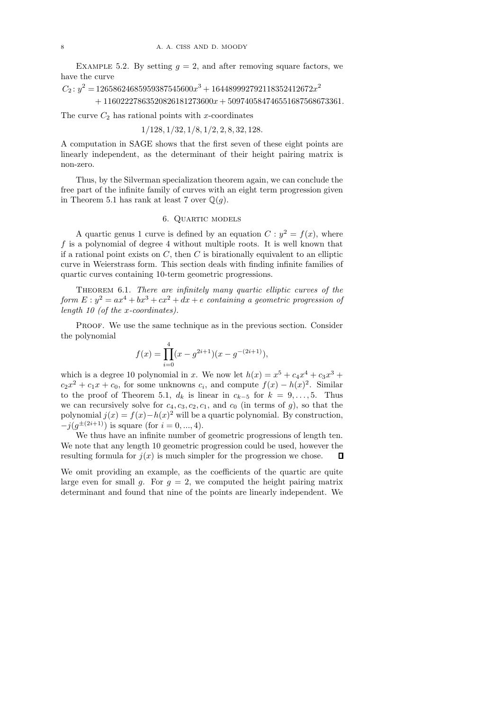EXAMPLE 5.2. By setting  $q = 2$ , and after removing square factors, we have the curve

 $C_2$ :  $y^2 = 12658624685959387545600x^3 + 164489992792118352412672x^2$  $+ 11602227863520826181273600x + 509740584746551687568673361.$ 

The curve  $C_2$  has rational points with x-coordinates

1/128, 1/32, 1/8, 1/2, 2, 8, 32, 128.

A computation in SAGE shows that the first seven of these eight points are linearly independent, as the determinant of their height pairing matrix is non-zero.

Thus, by the Silverman specialization theorem again, we can conclude the free part of the infinite family of curves with an eight term progression given in Theorem 5.1 has rank at least 7 over  $\mathbb{O}(q)$ .

## 6. Quartic models

A quartic genus 1 curve is defined by an equation  $C: y^2 = f(x)$ , where  $f$  is a polynomial of degree 4 without multiple roots. It is well known that if a rational point exists on  $C$ , then  $C$  is birationally equivalent to an elliptic curve in Weierstrass form. This section deals with finding infinite families of quartic curves containing 10-term geometric progressions.

Theorem 6.1. There are infinitely many quartic elliptic curves of the form  $E: y^2 = ax^4 + bx^3 + cx^2 + dx + e$  containing a geometric progression of length 10 (of the x-coordinates).

PROOF. We use the same technique as in the previous section. Consider the polynomial

$$
f(x) = \prod_{i=0}^{4} (x - g^{2i+1})(x - g^{-(2i+1)}),
$$

which is a degree 10 polynomial in x. We now let  $h(x) = x^5 + c_4x^4 + c_3x^3 + c_4x^4 + c_5x^3$  $c_2x^2 + c_1x + c_0$ , for some unknowns  $c_i$ , and compute  $f(x) - h(x)^2$ . Similar to the proof of Theorem 5.1,  $d_k$  is linear in  $c_{k-5}$  for  $k = 9, \ldots, 5$ . Thus we can recursively solve for  $c_4, c_3, c_2, c_1$ , and  $c_0$  (in terms of g), so that the polynomial  $j(x) = f(x) - h(x)^2$  will be a quartic polynomial. By construction,  $-j(g^{\pm (2i+1)})$  is square (for  $i = 0, ..., 4$ ).

We thus have an infinite number of geometric progressions of length ten. We note that any length 10 geometric progression could be used, however the resulting formula for  $j(x)$  is much simpler for the progression we chose.  $\mathsf{\Pi}$ 

We omit providing an example, as the coefficients of the quartic are quite large even for small g. For  $g = 2$ , we computed the height pairing matrix determinant and found that nine of the points are linearly independent. We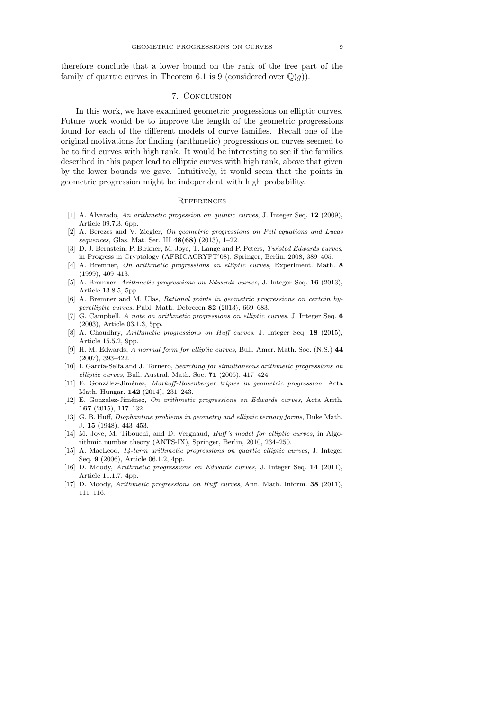therefore conclude that a lower bound on the rank of the free part of the family of quartic curves in Theorem 6.1 is 9 (considered over  $\mathbb{Q}(q)$ ).

# 7. Conclusion

In this work, we have examined geometric progressions on elliptic curves. Future work would be to improve the length of the geometric progressions found for each of the different models of curve families. Recall one of the original motivations for finding (arithmetic) progressions on curves seemed to be to find curves with high rank. It would be interesting to see if the families described in this paper lead to elliptic curves with high rank, above that given by the lower bounds we gave. Intuitively, it would seem that the points in geometric progression might be independent with high probability.

#### **REFERENCES**

- [1] A. Alvarado, An arithmetic progession on quintic curves, J. Integer Seq. 12 (2009), Article 09.7.3, 6pp.
- [2] A. Berczes and V. Ziegler, On geometric progressions on Pell equations and Lucas sequences, Glas. Mat. Ser. III 48(68) (2013), 1–22.
- [3] D. J. Bernstein, P. Birkner, M. Joye, T. Lange and P. Peters, Twisted Edwards curves, in Progress in Cryptology (AFRICACRYPT'08), Springer, Berlin, 2008, 389–405.
- [4] A. Bremner, On arithmetic progressions on elliptic curves, Experiment. Math. 8 (1999), 409–413.
- [5] A. Bremner, Arithmetic progressions on Edwards curves, J. Integer Seq. 16 (2013), Article 13.8.5, 5pp.
- [6] A. Bremner and M. Ulas, Rational points in geometric progressions on certain hyperelliptic curves, Publ. Math. Debrecen 82 (2013), 669–683.
- [7] G. Campbell, A note on arithmetic progressions on elliptic curves, J. Integer Seq. 6 (2003), Article 03.1.3, 5pp.
- [8] A. Choudhry, Arithmetic progressions on Huff curves, J. Integer Seq. 18 (2015), Article 15.5.2, 9pp.
- [9] H. M. Edwards, A normal form for elliptic curves, Bull. Amer. Math. Soc. (N.S.) 44 (2007), 393–422.
- [10] I. García-Selfa and J. Tornero, Searching for simultaneous arithmetic progressions on elliptic curves, Bull. Austral. Math. Soc. 71 (2005), 417–424.
- [11] E. González-Jiménez, Markoff-Rosenberger triples in geometric progression, Acta Math. Hungar. 142 (2014), 231–243.
- [12] E. Gonzalez-Jiménez, On arithmetic progressions on Edwards curves, Acta Arith. 167 (2015), 117–132.
- [13] G. B. Huff, Diophantine problems in geometry and elliptic ternary forms, Duke Math. J. 15 (1948), 443–453.
- [14] M. Joye, M. Tibouchi, and D. Vergnaud, *Huff's model for elliptic curves*, in Algorithmic number theory (ANTS-IX), Springer, Berlin, 2010, 234–250.
- [15] A. MacLeod, 14-term arithmetic progressions on quartic elliptic curves, J. Integer Seq. 9 (2006), Article 06.1.2, 4pp.
- [16] D. Moody, Arithmetic progressions on Edwards curves, J. Integer Seq. 14 (2011), Article 11.1.7, 4pp.
- [17] D. Moody, Arithmetic progressions on Huff curves, Ann. Math. Inform. 38 (2011), 111–116.